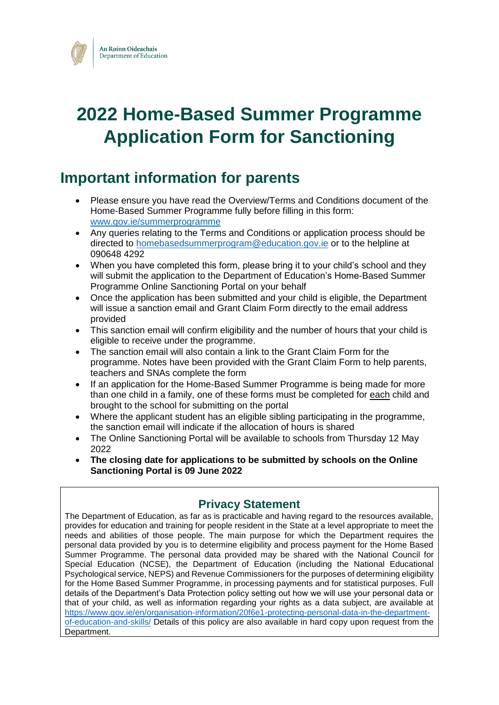

# **2022 Home-Based Summer Programme Application Form for Sanctioning**

### **Important information for parents**

- Please ensure you have read the Overview/Terms and Conditions document of the Home-Based Summer Programme fully before filling in this form: [www.gov.ie/summerprogramme](http://www.gov.ie/summerprogramme)
- Any queries relating to the Terms and Conditions or application process should be directed to [homebasedsummerprogram@education.gov.ie](mailto:homebasedsummerprogram@education.gov.ie) or to the helpline at 090648 4292
- When you have completed this form, please bring it to your child's school and they will submit the application to the Department of Education's Home-Based Summer Programme Online Sanctioning Portal on your behalf
- Once the application has been submitted and your child is eligible, the Department will issue a sanction email and Grant Claim Form directly to the email address provided
- This sanction email will confirm eligibility and the number of hours that your child is eligible to receive under the programme.
- The sanction email will also contain a link to the Grant Claim Form for the programme. Notes have been provided with the Grant Claim Form to help parents, teachers and SNAs complete the form
- If an application for the Home-Based Summer Programme is being made for more than one child in a family, one of these forms must be completed for each child and brought to the school for submitting on the portal
- Where the applicant student has an eligible sibling participating in the programme, the sanction email will indicate if the allocation of hours is shared
- The Online Sanctioning Portal will be available to schools from Thursday 12 May 2022
- **The closing date for applications to be submitted by schools on the Online Sanctioning Portal is 09 June 2022**

#### **Privacy Statement**

The Department of Education, as far as is practicable and having regard to the resources available, provides for education and training for people resident in the State at a level appropriate to meet the needs and abilities of those people. The main purpose for which the Department requires the personal data provided by you is to determine eligibility and process payment for the Home Based Summer Programme. The personal data provided may be shared with the National Council for Special Education (NCSE), the Department of Education (including the National Educational Psychological service, NEPS) and Revenue Commissioners for the purposes of determining eligibility for the Home Based Summer Programme, in processing payments and for statistical purposes. Full details of the Department's Data Protection policy setting out how we will use your personal data or that of your child, as well as information regarding your rights as a data subject, are available at [https://www.gov.ie/en/organisation-information/20f6e1-protecting-personal-data-in-the-department](https://www.gov.ie/en/organisation-information/20f6e1-protecting-personal-data-in-the-department-of-education-and-skills/)[of-education-and-skills/](https://www.gov.ie/en/organisation-information/20f6e1-protecting-personal-data-in-the-department-of-education-and-skills/) Details of this policy are also available in hard copy upon request from the Department.